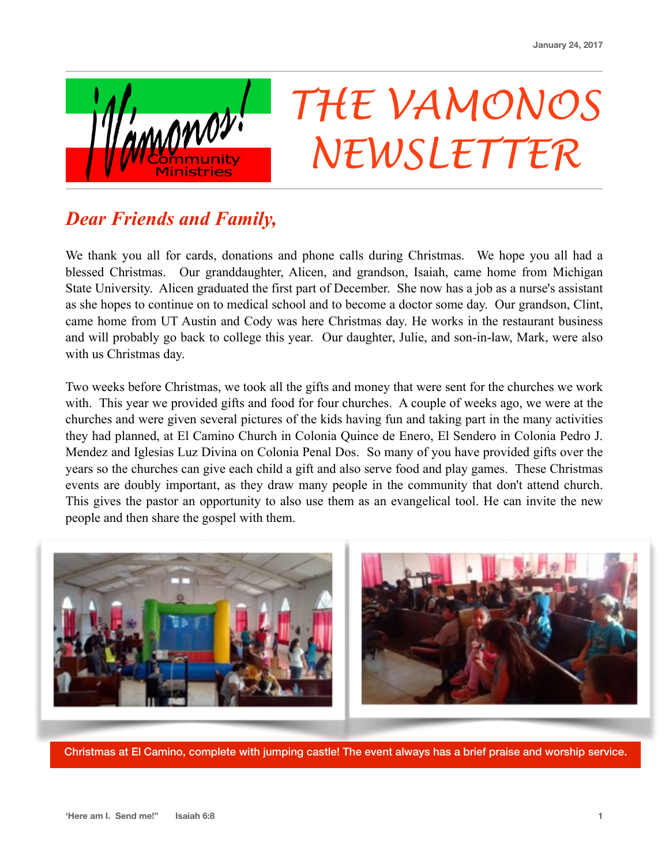

## *THE VAMONOS NEWSLETTER*

## *Dear Friends and Family,*

We thank you all for cards, donations and phone calls during Christmas. We hope you all had a blessed Christmas. Our granddaughter, Alicen, and grandson, Isaiah, came home from Michigan State University. Alicen graduated the first part of December. She now has a job as a nurse's assistant as she hopes to continue on to medical school and to become a doctor some day. Our grandson, Clint, came home from UT Austin and Cody was here Christmas day. He works in the restaurant business and will probably go back to college this year. Our daughter, Julie, and son-in-law, Mark, were also with us Christmas day.

Two weeks before Christmas, we took all the gifts and money that were sent for the churches we work with. This year we provided gifts and food for four churches. A couple of weeks ago, we were at the churches and were given several pictures of the kids having fun and taking part in the many activities they had planned, at El Camino Church in Colonia Quince de Enero, El Sendero in Colonia Pedro J. Mendez and Iglesias Luz Divina on Colonia Penal Dos. So many of you have provided gifts over the years so the churches can give each child a gift and also serve food and play games. These Christmas events are doubly important, as they draw many people in the community that don't attend church. This gives the pastor an opportunity to also use them as an evangelical tool. He can invite the new people and then share the gospel with them.



Christmas at El Camino, complete with jumping castle! The event always has a brief praise and worship service.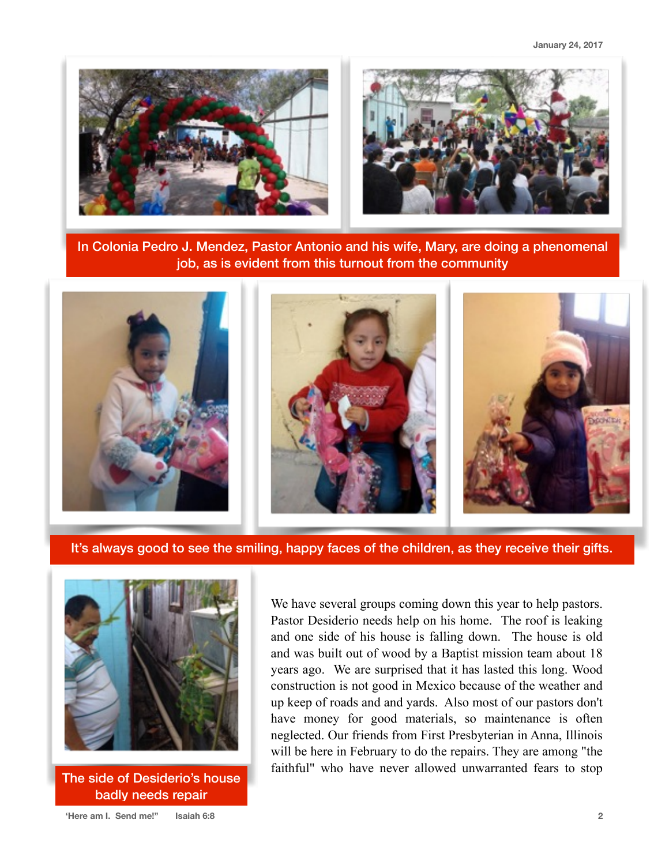**January 24, 2017**





In Colonia Pedro J. Mendez, Pastor Antonio and his wife, Mary, are doing a phenomenal job, as is evident from this turnout from the community



It's always good to see the smiling, happy faces of the children, as they receive their gifts.



The side of Desiderio's house badly needs repair

We have several groups coming down this year to help pastors. Pastor Desiderio needs help on his home. The roof is leaking and one side of his house is falling down. The house is old and was built out of wood by a Baptist mission team about 18 years ago. We are surprised that it has lasted this long. Wood construction is not good in Mexico because of the weather and up keep of roads and and yards. Also most of our pastors don't have money for good materials, so maintenance is often neglected. Our friends from First Presbyterian in Anna, Illinois will be here in February to do the repairs. They are among "the faithful" who have never allowed unwarranted fears to stop

**'Here am I. Send me!" Isaiah 6:8 2**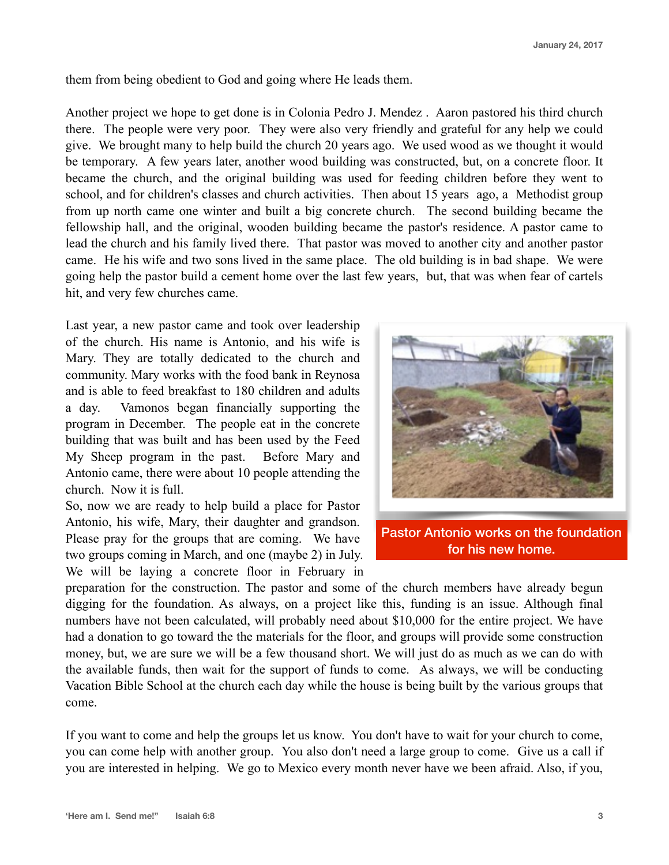them from being obedient to God and going where He leads them.

Another project we hope to get done is in Colonia Pedro J. Mendez . Aaron pastored his third church there. The people were very poor. They were also very friendly and grateful for any help we could give. We brought many to help build the church 20 years ago. We used wood as we thought it would be temporary. A few years later, another wood building was constructed, but, on a concrete floor. It became the church, and the original building was used for feeding children before they went to school, and for children's classes and church activities. Then about 15 years ago, a Methodist group from up north came one winter and built a big concrete church. The second building became the fellowship hall, and the original, wooden building became the pastor's residence. A pastor came to lead the church and his family lived there. That pastor was moved to another city and another pastor came. He his wife and two sons lived in the same place. The old building is in bad shape. We were going help the pastor build a cement home over the last few years, but, that was when fear of cartels hit, and very few churches came.

Last year, a new pastor came and took over leadership of the church. His name is Antonio, and his wife is Mary. They are totally dedicated to the church and community. Mary works with the food bank in Reynosa and is able to feed breakfast to 180 children and adults a day. Vamonos began financially supporting the program in December. The people eat in the concrete building that was built and has been used by the Feed My Sheep program in the past. Before Mary and Antonio came, there were about 10 people attending the church. Now it is full.

So, now we are ready to help build a place for Pastor Antonio, his wife, Mary, their daughter and grandson. Please pray for the groups that are coming. We have two groups coming in March, and one (maybe 2) in July. We will be laying a concrete floor in February in



Pastor Antonio works on the foundation for his new home.

preparation for the construction. The pastor and some of the church members have already begun digging for the foundation. As always, on a project like this, funding is an issue. Although final numbers have not been calculated, will probably need about \$10,000 for the entire project. We have had a donation to go toward the the materials for the floor, and groups will provide some construction money, but, we are sure we will be a few thousand short. We will just do as much as we can do with the available funds, then wait for the support of funds to come. As always, we will be conducting Vacation Bible School at the church each day while the house is being built by the various groups that come.

If you want to come and help the groups let us know. You don't have to wait for your church to come, you can come help with another group. You also don't need a large group to come. Give us a call if you are interested in helping. We go to Mexico every month never have we been afraid. Also, if you,